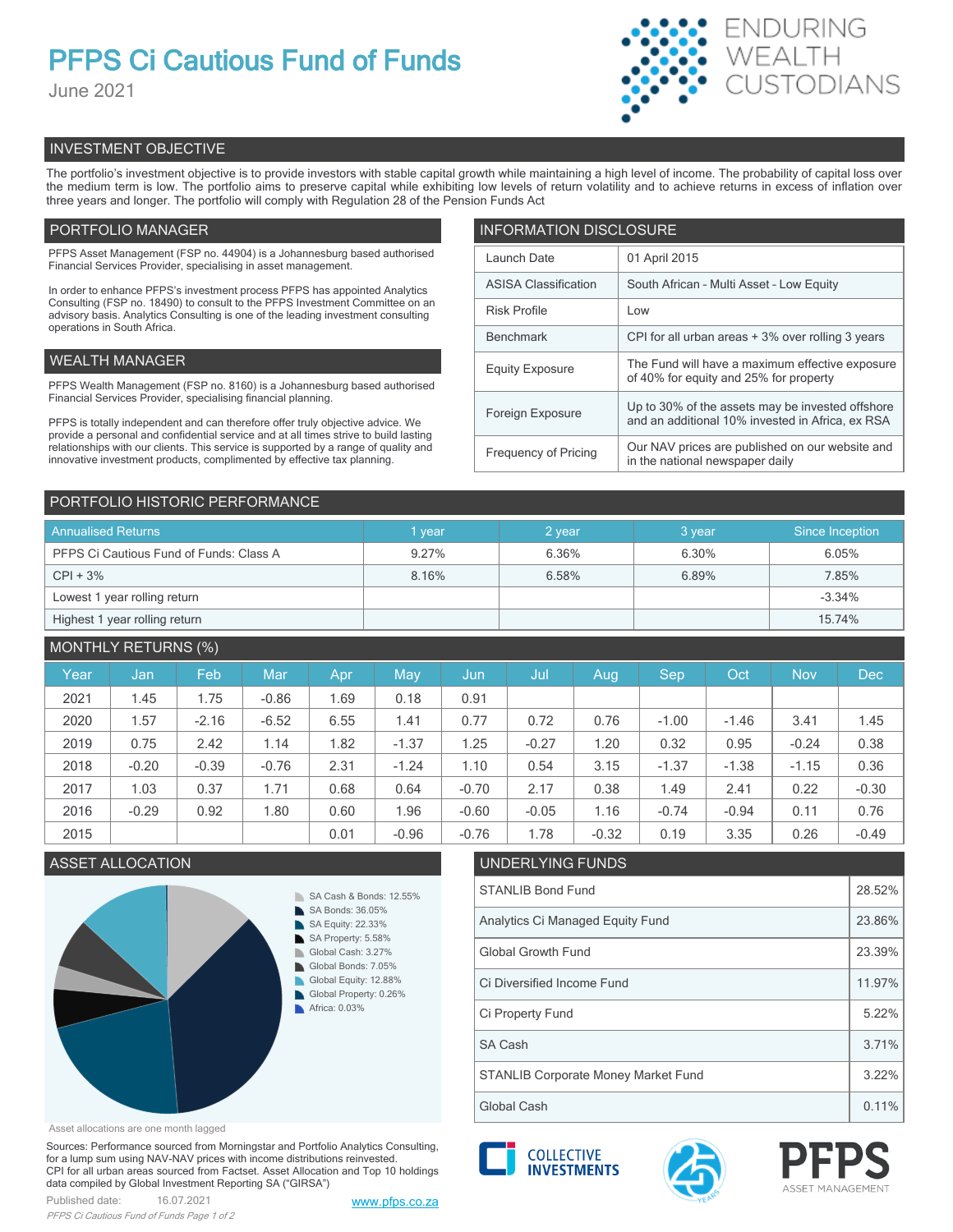# **PFPS Ci Cautious Fund of Funds**

June 2021



# INVESTMENT OBJECTIVE

The portfolio's investment objective is to provide investors with stable capital growth while maintaining a high level of income. The probability of capital loss over the medium term is low. The portfolio aims to preserve capital while exhibiting low levels of return volatility and to achieve returns in excess of inflation over three years and longer. The portfolio will comply with Regulation 28 of the Pension Funds Act

# PORTFOLIO MANAGER

PFPS Asset Management (FSP no. 44904) is a Johannesburg based authorised Financial Services Provider, specialising in asset management.

In order to enhance PFPS's investment process PFPS has appointed Analytics Consulting (FSP no. 18490) to consult to the PFPS Investment Committee on an advisory basis. Analytics Consulting is one of the leading investment consulting operations in South Africa.

# WEALTH MANAGER

PFPS Wealth Management (FSP no. 8160) is a Johannesburg based authorised Financial Services Provider, specialising financial planning.

PFPS is totally independent and can therefore offer truly objective advice. We provide a personal and confidential service and at all times strive to build lasting relationships with our clients. This service is supported by a range of quality and innovative investment products, complimented by effective tax planning.

| <b>INFORMATION DISCLOSURE</b> |                                                                                                      |  |  |  |  |  |
|-------------------------------|------------------------------------------------------------------------------------------------------|--|--|--|--|--|
| Launch Date                   | 01 April 2015                                                                                        |  |  |  |  |  |
| <b>ASISA Classification</b>   | South African - Multi Asset - Low Equity                                                             |  |  |  |  |  |
| <b>Risk Profile</b>           | Low                                                                                                  |  |  |  |  |  |
| <b>Benchmark</b>              | CPI for all urban areas + 3% over rolling 3 years                                                    |  |  |  |  |  |
| <b>Equity Exposure</b>        | The Fund will have a maximum effective exposure<br>of 40% for equity and 25% for property            |  |  |  |  |  |
| Foreign Exposure              | Up to 30% of the assets may be invested offshore<br>and an additional 10% invested in Africa, ex RSA |  |  |  |  |  |
| <b>Frequency of Pricing</b>   | Our NAV prices are published on our website and<br>in the national newspaper daily                   |  |  |  |  |  |

# PORTFOLIO HISTORIC PERFORMANCE

| <b>Annualised Returns</b>               | vear           | 2 year | 3 year | Since Inception |  |
|-----------------------------------------|----------------|--------|--------|-----------------|--|
| PFPS Ci Cautious Fund of Funds: Class A | 6.36%<br>9.27% |        | 6.30%  | 6.05%           |  |
| $CPI + 3%$                              | 8.16%          | 6.58%  | 6.89%  | 7.85%           |  |
| Lowest 1 year rolling return            |                |        |        | $-3.34%$        |  |
| Highest 1 year rolling return           |                |        |        | 15.74%          |  |

# MONTHLY RETURNS (%)

| Year | Jan     | Feb     | Mar     | Apr  | May     | Jun     | Jul     | Aug     | Sep     | Oct     | <b>Nov</b> | <b>Dec</b> |
|------|---------|---------|---------|------|---------|---------|---------|---------|---------|---------|------------|------------|
| 2021 | 1.45    | 1.75    | $-0.86$ | 1.69 | 0.18    | 0.91    |         |         |         |         |            |            |
| 2020 | 1.57    | $-2.16$ | $-6.52$ | 6.55 | 1.41    | 0.77    | 0.72    | 0.76    | $-1.00$ | $-1.46$ | 3.41       | 1.45       |
| 2019 | 0.75    | 2.42    | 1.14    | 1.82 | $-1.37$ | 1.25    | $-0.27$ | 1.20    | 0.32    | 0.95    | $-0.24$    | 0.38       |
| 2018 | $-0.20$ | $-0.39$ | $-0.76$ | 2.31 | $-1.24$ | 1.10    | 0.54    | 3.15    | $-1.37$ | $-1.38$ | $-1.15$    | 0.36       |
| 2017 | 1.03    | 0.37    | 1.71    | 0.68 | 0.64    | $-0.70$ | 2.17    | 0.38    | 1.49    | 2.41    | 0.22       | $-0.30$    |
| 2016 | $-0.29$ | 0.92    | 1.80    | 0.60 | 1.96    | $-0.60$ | $-0.05$ | 1.16    | $-0.74$ | $-0.94$ | 0.11       | 0.76       |
| 2015 |         |         |         | 0.01 | $-0.96$ | $-0.76$ | 1.78    | $-0.32$ | 0.19    | 3.35    | 0.26       | $-0.49$    |

# ASSET ALLOCATION UNDERLYING FUNDS



# STANLIB Bond Fund 28.52% Analytics Ci Managed Equity Fund 23.86% Global Growth Fund 23.39% Ci Diversified Income Fund 11.97%



Asset allocations are one month lagged

Sources: Performance sourced from Morningstar and Portfolio Analytics Consulting, for a lump sum using NAV-NAV prices with income distributions reinvested. CPI for all urban areas sourced from Factset. Asset Allocation and Top 10 holdings data compiled by Global Investment Reporting SA ("GIRSA")